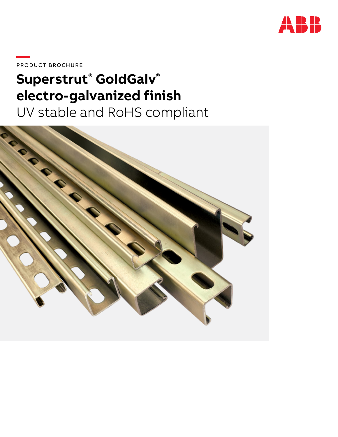

PRODUCT BROCHURE

# Superstrut® GoldGalv® electro-galvanized finish

UV stable and RoHS compliant

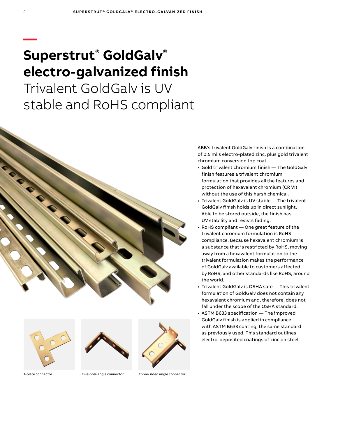# **Superstrut**®  **GoldGalv**® **electro-galvanized finish**

Trivalent GoldGalv is UV stable and RoHS compliant





2

**—**





T-plate connector Five-hole angle connector Three-sided angle connector

ABB's trivalent GoldGalv finish is a combination of 0.5 mils electro-plated zinc, plus gold trivalent chromium conversion top coat.

- Gold trivalent chromium finish The GoldGalv finish features a trivalent chromium formulation that provides all the features and protection of hexavalent chromium (CR VI) without the use of this harsh chemical.
- Trivalent GoldGalv is UV stable The trivalent GoldGalv finish holds up in direct sunlight. Able to be stored outside, the finish has UV stability and resists fading.
- RoHS compliant One great feature of the trivalent chromium formulation is RoHS compliance. Because hexavalent chromium is a substance that is restricted by RoHS, moving away from a hexavalent formulation to the trivalent formulation makes the performance of GoldGalv available to customers affected by RoHS, and other standards like RoHS, around the world.
- Trivalent GoldGalv is OSHA safe This trivalent formulation of GoldGalv does not contain any hexavalent chromium and, therefore, does not fall under the scope of the OSHA standard.
- ASTM B633 specification The improved GoldGalv finish is applied in compliance with ASTM B633 coating, the same standard as previously used. This standard outlines electro-deposited coatings of zinc on steel.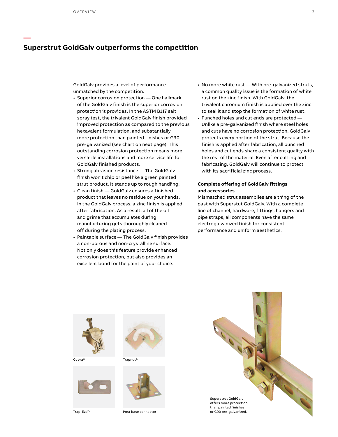**—**

### **Superstrut GoldGalv outperforms the competition**

GoldGalv provides a level of performance unmatched by the competition.

- Superior corrosion protection One hallmark of the GoldGalv finish is the superior corrosion protection it provides. In the ASTM B117 salt spray test, the trivalent GoldGalv finish provided improved protection as compared to the previous hexavalent formulation, and substantially more protection than painted finishes or G90 pre-galvanized (see chart on next page). This outstanding corrosion protection means more versatile installations and more service life for GoldGalv finished products.
- Strong abrasion resistance The GoldGalv finish won't chip or peel like a green painted strut product. It stands up to rough handling.
- Clean finish GoldGalv ensures a finished product that leaves no residue on your hands. In the GoldGalv process, a zinc finish is applied after fabrication. As a result, all of the oil and grime that accumulates during manufacturing gets thoroughly cleaned off during the plating process.
- Paintable surface The GoldGalv finish provides a non-porous and non-crystalline surface. Not only does this feature provide enhanced corrosion protection, but also provides an excellent bond for the paint of your choice.
- No more white rust With pre-galvanized struts, a common quality issue is the formation of white rust on the zinc finish. With GoldGalv, the trivalent chromium finish is applied over the zinc to seal it and stop the formation of white rust.
- Punched holes and cut ends are protected Unlike a pre-galvanized finish where steel holes and cuts have no corrosion protection, GoldGalv protects every portion of the strut. Because the finish is applied after fabrication, all punched holes and cut ends share a consistent quality with the rest of the material. Even after cutting and fabricating, GoldGalv will continue to protect with its sacrificial zinc process.

### **Complete offering of GoldGalv fittings and accessories**

Mismatched strut assemblies are a thing of the past with Superstut GoldGalv. With a complete line of channel, hardware, fittings, hangers and pipe straps, all components have the same electrogalvanized finish for consistent performance and uniform aesthetics.



Cobra®





Trapnut®



Post base connector